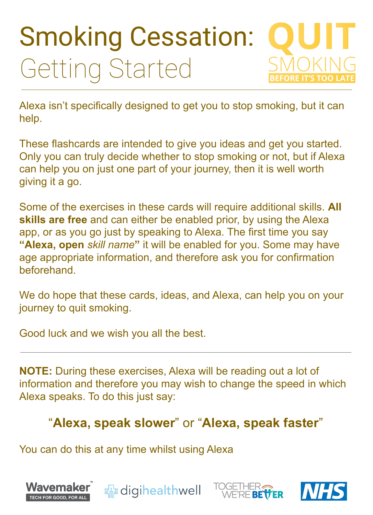# Smoking Cessation: Getting Started

Alexa isn't specifically designed to get you to stop smoking, but it can help.

These flashcards are intended to give you ideas and get you started. Only you can truly decide whether to stop smoking or not, but if Alexa can help you on just one part of your journey, then it is well worth giving it a go.

Some of the exercises in these cards will require additional skills. **All skills are free** and can either be enabled prior, by using the Alexa app, or as you go just by speaking to Alexa. The first time you say **"Alexa, open** *skill name***"** it will be enabled for you. Some may have age appropriate information, and therefore ask you for confirmation beforehand.

We do hope that these cards, ideas, and Alexa, can help you on your journey to quit smoking.

Good luck and we wish you all the best.

**NOTE:** During these exercises, Alexa will be reading out a lot of information and therefore you may wish to change the speed in which Alexa speaks. To do this just say:

#### "**Alexa, speak slower**" or "**Alexa, speak faster**"

You can do this at any time whilst using Alexa

#### Wavemaker **Enterprise** digihealthwell **RETTER** TECH FOR GOOD, FOR ALI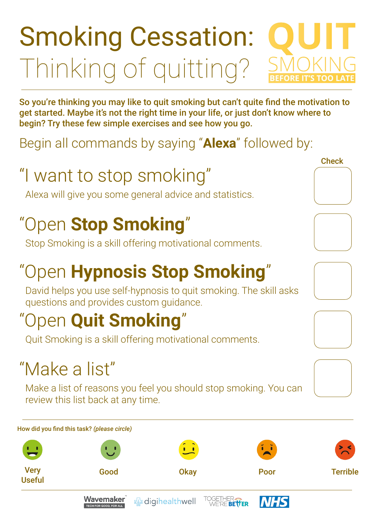So you're thinking you may like to quit smoking but can't quite find the motivation to get started. Maybe it's not the right time in your life, or just don't know where to begin? Try these few simple exercises and see how you go.

Begin all commands by saying "**Alexa**" followed by:

# "I want to stop smoking"

# Smoking Cessation: Thinking of quitting?

Alexa will give you some general advice and statistics.











# "Open **Stop Smoking**"

Stop Smoking is a skill offering motivational comments.

# "Open **Hypnosis Stop Smoking**"

David helps you use self-hypnosis to quit smoking. The skill asks questions and provides custom guidance.

## "Open **Quit Smoking**"

Quit Smoking is a skill offering motivational comments.

## "Make a list"

Make a list of reasons you feel you should stop smoking. You can

#### review this list back at any time.

#### How did you find this task? *(please circle)*



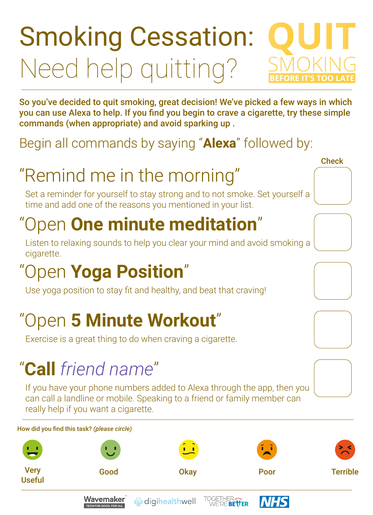So you've decided to quit smoking, great decision! We've picked a few ways in which you can use Alexa to help. If you find you begin to crave a cigarette, try these simple commands (when appropriate) and avoid sparking up .

#### Begin all commands by saying "**Alexa**" followed by:

# "Remind me in the morning"

#### How did you find this task? *(please circle)*





# Smoking Cessation: Need help quitting?

Set a reminder for yourself to stay strong and to not smoke. Set yourself a time and add one of the reasons you mentioned in your list.









## "Open **One minute meditation**"

Listen to relaxing sounds to help you clear your mind and avoid smoking a cigarette.

## "Open **Yoga Position**"

Use yoga position to stay fit and healthy, and beat that craving!

#### "Open **5 Minute Workout**"

Exercise is a great thing to do when craving a cigarette.

#### "**Call** *friend name*"

If you have your phone numbers added to Alexa through the app, then you can call a landline or mobile. Speaking to a friend or family member can really help if you want a cigarette.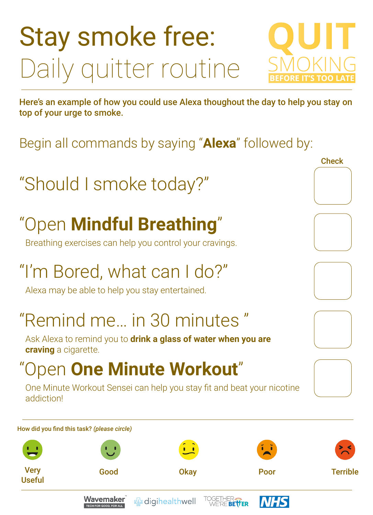#### "Remind me… in 30 minutes "

Here's an example of how you could use Alexa thoughout the day to help you stay on top of your urge to smoke.

Begin all commands by saying "**Alexa**" followed by:

#### "Should I smoke today?"

#### How did you find this task? *(please circle)*





# Stay smoke free: Daily quitter routine



# "Open **Mindful Breathing**"

Breathing exercises can help you control your cravings.

## "I'm Bored, what can I do?"

Alexa may be able to help you stay entertained.

Ask Alexa to remind you to **drink a glass of water when you are craving** a cigarette.

#### "Open **One Minute Workout**"

One Minute Workout Sensei can help you stay fit and beat your nicotine addiction!

**Check**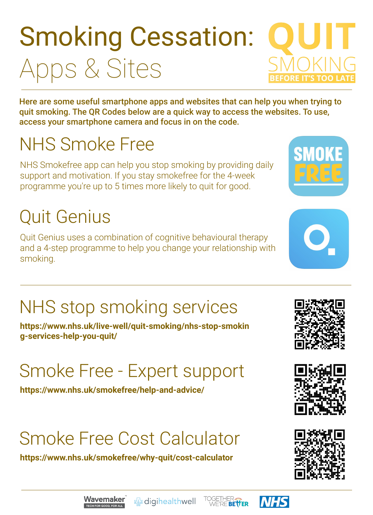Here are some useful smartphone apps and websites that can help you when trying to quit smoking. The QR Codes below are a quick way to access the websites. To use, access your smartphone camera and focus in on the code.

#### NHS Smoke Free

# Smoking Cessation: Apps & Sites

NHS Smokefree app can help you stop smoking by providing daily support and motivation. If you stay smokefree for the 4-week programme you're up to 5 times more likely to quit for good.

#### Quit Genius

Quit Genius uses a combination of cognitive behavioural therapy and a 4-step programme to help you change your relationship with smoking.

**https://www.nhs.uk/live-well/quit-smoking/nhs-stop-smokin g-services-help-you-quit/**

## NHS stop smoking services

**https://www.nhs.uk/smokefree/help-and-advice/**











#### Smoke Free - Expert support

**https://www.nhs.uk/smokefree/why-quit/cost-calculator**





#### Smoke Free Cost Calculator